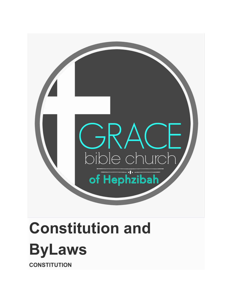

# **Constitution and ByLaws CONSTITUTION**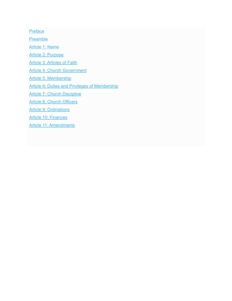**[Preface](http://truegraceofgod.org/constitution-and-bylaws/#Preface)** 

**[Preamble](http://truegraceofgod.org/constitution-and-bylaws/#Preamble)** 

[Article 1: Name](http://truegraceofgod.org/constitution-and-bylaws/#Constitution1)

[Article 2: Purpose](http://truegraceofgod.org/constitution-and-bylaws/#Constitution2)

[Article 3: Articles of Faith](http://truegraceofgod.org/constitution-and-bylaws/#Constitution3)

[Article 4: Church Government](http://truegraceofgod.org/constitution-and-bylaws/#Constitution4)

[Article 5: Membership](http://truegraceofgod.org/constitution-and-bylaws/#Constitution5)

[Article 6: Duties and Privileges of Membership](http://truegraceofgod.org/constitution-and-bylaws/#Constitution6)

[Article 7: Church Discipline](http://truegraceofgod.org/constitution-and-bylaws/#Constitution7)

[Article 8: Church Officers](http://truegraceofgod.org/constitution-and-bylaws/#Constitution8)

[Article 9: Ordinations](http://truegraceofgod.org/constitution-and-bylaws/#Constitution9)

[Article 10: Finances](http://truegraceofgod.org/constitution-and-bylaws/#Constitution10)

[Article 11: Amendments](http://truegraceofgod.org/constitution-and-bylaws/#Constitution11)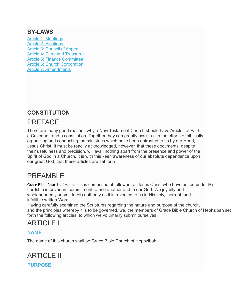### **BY-LAWS**

[Article 1: Meetings](http://truegraceofgod.org/constitution-and-bylaws/#Bylaws1) [Article 2: Elections](http://truegraceofgod.org/constitution-and-bylaws/#Bylaws2) [Article 3: Council of Appeal](http://truegraceofgod.org/constitution-and-bylaws/#Bylaws3) [Article 4: Clerk and Treasurer](http://truegraceofgod.org/constitution-and-bylaws/#Bylaws4) [Article 5: Finance Committee](http://truegraceofgod.org/constitution-and-bylaws/#Bylaws5) [Article 6: Church Corporation](http://truegraceofgod.org/constitution-and-bylaws/#Bylaws6) [Article 7: Amendments](http://truegraceofgod.org/constitution-and-bylaws/#Bylaws7)

### **CONSTITUTION**

# PREFACE

There are many good reasons why a New Testament Church should have Articles of Faith, a Covenant, and a constitution. Together they can greatly assist us in the efforts of biblically organizing and conducting the ministries which have been entrusted to us by our Head, Jesus Christ. It must be readily acknowledged, however, that these documents, despite their usefulness and precision, will avail nothing apart from the presence and power of the Spirit of God in a Church. It is with this keen awareness of our absolute dependence upon our great God, that these articles are set forth.

# PREAMBLE

Grace Bible Church of Hephzibah is comprised of followers of Jesus Christ who have united under His Lordship in covenant commitment to one another and to our God. We joyfully and wholeheartedly submit to His authority as it is revealed to us in His holy, inerrant, and infallible written Word.

Having carefully examined the Scriptures regarding the nature and purpose of the church, and the principles whereby it is to be governed, we, the members of Grace Bible Church of Hephzibah set forth the following articles, to which we voluntarily submit ourselves.

# ARTICLE I

### **NAME**

The name of this church shall be Grace Bible Church of Hephzibah

ARTICLE II **PURPOSE**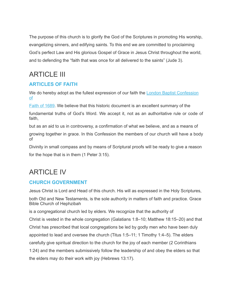The purpose of this church is to glorify the God of the Scriptures in promoting His worship, evangelizing sinners, and edifying saints. To this end we are committed to proclaiming God's perfect Law and His glorious Gospel of Grace in Jesus Christ throughout the world, and to defending the "faith that was once for all delivered to the saints" (Jude 3).

# ARTICLE III

### **ARTICLES OF FAITH**

[We do hereby adopt as the fullest expression of our faith the London Baptist Confession](http://truegraceofgod.org/1689-london-baptist-confession/)  of

[Faith of 1689](http://truegraceofgod.org/1689-london-baptist-confession/). We believe that this historic document is an excellent summary of the

fundamental truths of God's Word. We accept it, not as an authoritative rule or code of faith,

but as an aid to us in controversy, a confirmation of what we believe, and as a means of

growing together in grace. In this Confession the members of our church will have a body of

Divinity in small compass and by means of Scriptural proofs will be ready to give a reason for the hope that is in them (1 Peter 3:15).

# ARTICLE IV

### **CHURCH GOVERNMENT**

Jesus Christ is Lord and Head of this church. His will as expressed in the Holy Scriptures,

both Old and New Testaments, is the sole authority in matters of faith and practice. Grace Bible Church of Hephzibah

is a congregational church led by elders. We recognize that the authority of Christ is vested in the whole congregation (Galatians 1:8–10; Matthew 18:15–20) and that Christ has prescribed that local congregations be led by godly men who have been duly appointed to lead and oversee the church (Titus 1:5–11; 1 Timothy 1:4–5). The elders carefully give spiritual direction to the church for the joy of each member (2 Corinthians 1:24) and the members submissively follow the leadership of and obey the elders so that the elders may do their work with joy (Hebrews 13:17).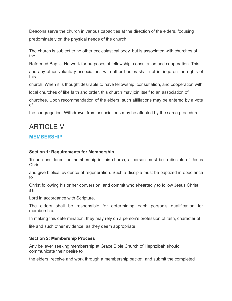Deacons serve the church in various capacities at the direction of the elders, focusing predominately on the physical needs of the church.

The church is subject to no other ecclesiastical body, but is associated with churches of the

Reformed Baptist Network for purposes of fellowship, consultation and cooperation. This,

and any other voluntary associations with other bodies shall not infringe on the rights of this

church. When it is thought desirable to have fellowship, consultation, and cooperation with local churches of like faith and order, this church may join itself to an association of

churches. Upon recommendation of the elders, such affiliations may be entered by a vote of

the congregation. Withdrawal from associations may be affected by the same procedure.

# ARTICLE V

### **MEMBERSHIP**

#### **Section 1: Requirements for Membership**

To be considered for membership in this church, a person must be a disciple of Jesus **Christ** 

and give biblical evidence of regeneration. Such a disciple must be baptized in obedience to

Christ following his or her conversion, and commit wholeheartedly to follow Jesus Christ as

Lord in accordance with Scripture.

The elders shall be responsible for determining each person's qualification for membership.

In making this determination, they may rely on a person's profession of faith, character of

life and such other evidence, as they deem appropriate.

#### **Section 2: Membership Process**

Any believer seeking membership at Grace Bible Church of Hephzibah should communicate their desire to

the elders, receive and work through a membership packet, and submit the completed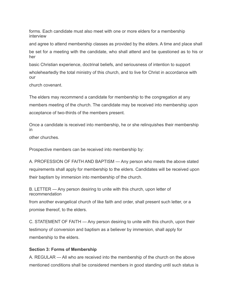forms. Each candidate must also meet with one or more elders for a membership interview

and agree to attend membership classes as provided by the elders. A time and place shall

be set for a meeting with the candidate, who shall attend and be questioned as to his or her

basic Christian experience, doctrinal beliefs, and seriousness of intention to support wholeheartedly the total ministry of this church, and to live for Christ in accordance with our

church covenant.

The elders may recommend a candidate for membership to the congregation at any members meeting of the church. The candidate may be received into membership upon acceptance of two-thirds of the members present.

Once a candidate is received into membership, he or she relinquishes their membership in

other churches.

Prospective members can be received into membership by:

A. PROFESSION OF FAITH AND BAPTISM — Any person who meets the above stated requirements shall apply for membership to the elders. Candidates will be received upon their baptism by immersion into membership of the church.

B. LETTER — Any person desiring to unite with this church, upon letter of recommendation

from another evangelical church of like faith and order, shall present such letter, or a promise thereof, to the elders.

C. STATEMENT OF FAITH — Any person desiring to unite with this church, upon their testimony of conversion and baptism as a believer by immersion, shall apply for membership to the elders.

#### **Section 3: Forms of Membership**

A. REGULAR — All who are received into the membership of the church on the above mentioned conditions shall be considered members in good standing until such status is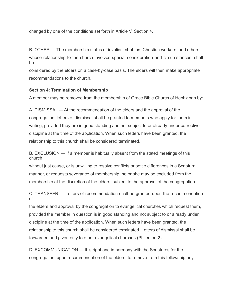changed by one of the conditions set forth in Article V, Section 4.

B. OTHER — The membership status of invalids, shut-ins, Christian workers, and others whose relationship to the church involves special consideration and circumstances, shall be

considered by the elders on a case-by-case basis. The elders will then make appropriate recommendations to the church.

#### **Section 4: Termination of Membership**

A member may be removed from the membership of Grace Bible Church of Hephzibah by:

A. DISMISSAL — At the recommendation of the elders and the approval of the congregation, letters of dismissal shall be granted to members who apply for them in writing, provided they are in good standing and not subject to or already under corrective discipline at the time of the application. When such letters have been granted, the relationship to this church shall be considered terminated.

B. EXCLUSION — If a member is habitually absent from the stated meetings of this church

without just cause, or is unwilling to resolve conflicts or settle differences in a Scriptural manner, or requests severance of membership, he or she may be excluded from the membership at the discretion of the elders, subject to the approval of the congregation.

C. TRANSFER — Letters of recommendation shall be granted upon the recommendation of

the elders and approval by the congregation to evangelical churches which request them, provided the member in question is in good standing and not subject to or already under discipline at the time of the application. When such letters have been granted, the relationship to this church shall be considered terminated. Letters of dismissal shall be forwarded and given only to other evangelical churches (Philemon 2).

D. EXCOMMUNICATION — It is right and in harmony with the Scriptures for the congregation, upon recommendation of the elders, to remove from this fellowship any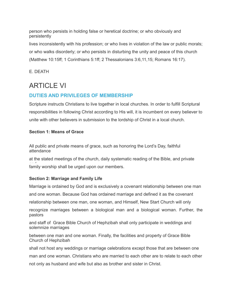person who persists in holding false or heretical doctrine; or who obviously and persistently

lives inconsistently with his profession; or who lives in violation of the law or public morals; or who walks disorderly; or who persists in disturbing the unity and peace of this church (Matthew 10:15ff; 1 Corinthians 5:1ff; 2 Thessalonians 3:6,11,15; Romans 16:17).

E. DEATH

# ARTICLE VI

### **DUTIES AND PRIVILEGES OF MEMBERSHIP**

Scripture instructs Christians to live together in local churches. In order to fulfill Scriptural responsibilities in following Christ according to His will, it is incumbent on every believer to unite with other believers in submission to the lordship of Christ in a local church.

#### **Section 1: Means of Grace**

All public and private means of grace, such as honoring the Lord's Day, faithful attendance

at the stated meetings of the church, daily systematic reading of the Bible, and private family worship shall be urged upon our members.

#### **Section 2: Marriage and Family Life**

Marriage is ordained by God and is exclusively a covenant relationship between one man

and one woman. Because God has ordained marriage and defined it as the covenant

relationship between one man, one woman, and Himself, New Start Church will only

recognize marriages between a biological man and a biological woman. Further, the pastors

and staff of Grace Bible Church of Hephzibah shall only participate in weddings and solemnize marriages

between one man and one woman. Finally, the facilities and property of Grace Bible Church of Hephzibah

shall not host any weddings or marriage celebrations except those that are between one

man and one woman. Christians who are married to each other are to relate to each other

not only as husband and wife but also as brother and sister in Christ.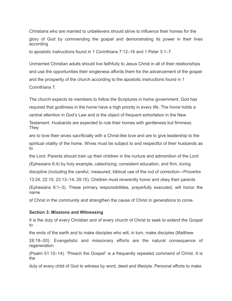Christians who are married to unbelievers should strive to influence their homes for the glory of God by commending the gospel and demonstrating its power in their lives according

to apostolic instructions found in 1 Corinthians 7:12–16 and 1 Peter 3:1–7.

Unmarried Christian adults should live faithfully to Jesus Christ in all of their relationships and use the opportunities their singleness affords them for the advancement of the gospel and the prosperity of the church according to the apostolic instructions found in 1 Corinthians 7.

The church expects its members to follow the Scriptures in home government. God has required that godliness in the home have a high priority in every life. The home holds a central attention in God's Law and is the object of frequent exhortation in the New Testament. Husbands are expected to rule their homes with gentleness but firmness.

They

are to love their wives sacrificially with a Christ-like love and are to give leadership to the spiritual vitality of the home. Wives must be subject to and respectful of their husbands as to

the Lord. Parents should train up their children in the nurture and admonition of the Lord (Ephesians 6:4) by holy example, catechizing, consistent education, and firm, loving discipline (including the careful, measured, biblical use of the rod of correction—Proverbs

13:24; 22:15; 23:13–14; 29:15). Children must reverently honor and obey their parents (Ephesians 6:1–3). These primary responsibilities, prayerfully executed, will honor the name

of Christ in the community and strengthen the cause of Christ in generations to come.

#### **Section 3: Missions and Witnessing**

It is the duty of every Christian and of every church of Christ to seek to extend the Gospel to

the ends of the earth and to make disciples who will, in turn, make disciples (Matthew

28:18–20). Evangelistic and missionary efforts are the natural consequence of regeneration

(Psalm 51:10–14). "Preach the Gospel" is a frequently repeated command of Christ. It is the

duty of every child of God to witness by word, deed and lifestyle. Personal efforts to make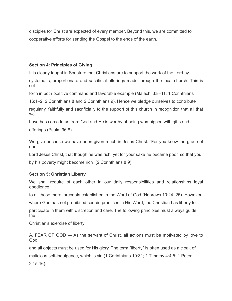disciples for Christ are expected of every member. Beyond this, we are committed to cooperative efforts for sending the Gospel to the ends of the earth.

#### **Section 4: Principles of Giving**

It is clearly taught in Scripture that Christians are to support the work of the Lord by systematic, proportionate and sacrificial offerings made through the local church. This is set

forth in both positive command and favorable example (Malachi 3:8–11; 1 Corinthians

16:1–2; 2 Corinthians 8 and 2 Corinthians 9). Hence we pledge ourselves to contribute

regularly, faithfully and sacrificially to the support of this church in recognition that all that we

have has come to us from God and He is worthy of being worshipped with gifts and offerings (Psalm 96:8).

We give because we have been given much in Jesus Christ. "For you know the grace of our

Lord Jesus Christ, that though he was rich, yet for your sake he became poor, so that you

by his poverty might become rich" (2 Corinthians 8:9).

#### **Section 5: Christian Liberty**

We shall require of each other in our daily responsibilities and relationships loyal obedience

to all those moral precepts established in the Word of God (Hebrews 10:24, 25). However,

where God has not prohibited certain practices in His Word, the Christian has liberty to

participate in them with discretion and care. The following principles must always guide the

Christian's exercise of liberty:

A. FEAR OF GOD — As the servant of Christ, all actions must be motivated by love to God,

and all objects must be used for His glory. The term "liberty" is often used as a cloak of malicious self-indulgence, which is sin (1 Corinthians 10:31; 1 Timothy 4:4,5; 1 Peter 2:15,16).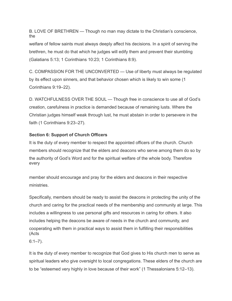B. LOVE OF BRETHREN — Though no man may dictate to the Christian's conscience, the

welfare of fellow saints must always deeply affect his decisions. In a spirit of serving the brethren, he must do that which he judges will edify them and prevent their stumbling (Galatians 5:13; 1 Corinthians 10:23; 1 Corinthians 8:9).

C. COMPASSION FOR THE UNCONVERTED — Use of liberty must always be regulated by its effect upon sinners, and that behavior chosen which is likely to win some (1 Corinthians 9:19–22).

D. WATCHFULNESS OVER THE SOUL — Though free in conscience to use all of God's creation, carefulness in practice is demanded because of remaining lusts. Where the Christian judges himself weak through lust, he must abstain in order to persevere in the faith (1 Corinthians 9:23–27).

#### **Section 6: Support of Church Officers**

It is the duty of every member to respect the appointed officers of the church. Church members should recognize that the elders and deacons who serve among them do so by the authority of God's Word and for the spiritual welfare of the whole body. Therefore every

member should encourage and pray for the elders and deacons in their respective ministries.

Specifically, members should be ready to assist the deacons in protecting the unity of the church and caring for the practical needs of the membership and community at large. This includes a willingness to use personal gifts and resources in caring for others. It also includes helping the deacons be aware of needs in the church and community, and cooperating with them in practical ways to assist them in fulfilling their responsibilities (Acts

6:1–7).

It is the duty of every member to recognize that God gives to His church men to serve as spiritual leaders who give oversight to local congregations. These elders of the church are to be "esteemed very highly in love because of their work" (1 Thessalonians 5:12–13).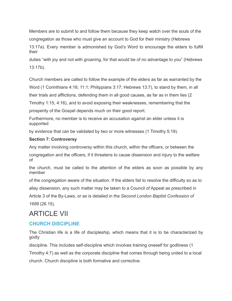Members are to submit to and follow them because they keep watch over the souls of the congregation as those who must give an account to God for their ministry (Hebrews

13:17a). Every member is admonished by God's Word to encourage the elders to fulfill their

duties "with joy and not with groaning, for that would be of no advantage to you" (Hebrews 13:17b).

Church members are called to follow the example of the elders as far as warranted by the Word (1 Corinthians 4:16; 11:1; Philippians 3:17; Hebrews 13:7), to stand by them, in all

their trials and afflictions, defending them in all good causes, as far as in them lies (2

Timothy 1:15, 4:16), and to avoid exposing their weaknesses, remembering that the

prosperity of the Gospel depends much on their good report.

Furthermore, no member is to receive an accusation against an elder unless it is supported

by evidence that can be validated by two or more witnesses (1 Timothy 5:19).

#### **Section 7: Controversy**

Any matter involving controversy within this church, within the officers, or between the

congregation and the officers, if it threatens to cause dissension and injury to the welfare of

the church, must be called to the attention of the elders as soon as possible by any member

of the congregation aware of the situation. If the elders fail to resolve the difficulty so as to

allay dissension, any such matter may be taken to a Council of Appeal as prescribed in

Article 3 of the By-Laws, or as is detailed in the *Second London Baptist Confession of 1689* (26.15).

# ARTICLE VII

### **CHURCH DISCIPLINE**

The Christian life is a life of discipleship, which means that it is to be characterized by godly

discipline. This includes self-discipline which involves training oneself for godliness (1

Timothy 4:7) as well as the corporate discipline that comes through being united to a local church. Church discipline is both formative and corrective.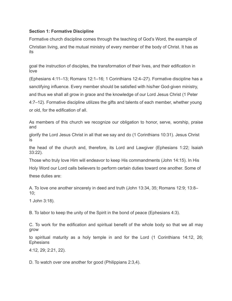#### **Section 1: Formative Discipline**

Formative church discipline comes through the teaching of God's Word, the example of Christian living, and the mutual ministry of every member of the body of Christ. It has as its

goal the instruction of disciples, the transformation of their lives, and their edification in love

(Ephesians 4:11–13; Romans 12:1–16; 1 Corinthians 12:4–27). Formative discipline has a sanctifying influence. Every member should be satisfied with his/her God-given ministry, and thus we shall all grow in grace and the knowledge of our Lord Jesus Christ (1 Peter 4:7–12). Formative discipline utilizes the gifts and talents of each member, whether young or old, for the edification of all.

As members of this church we recognize our obligation to honor, serve, worship, praise and

glorify the Lord Jesus Christ in all that we say and do (1 Corinthians 10:31). Jesus Christ is

the head of the church and, therefore, its Lord and Lawgiver (Ephesians 1:22; Isaiah 33:22).

Those who truly love Him will endeavor to keep His commandments (John 14:15). In His Holy Word our Lord calls believers to perform certain duties toward one another. Some of these duties are:

A. To love one another sincerely in deed and truth (John 13:34, 35; Romans 12:9; 13:8– 10;

1 John 3:18).

B. To labor to keep the unity of the Spirit in the bond of peace (Ephesians 4:3).

C. To work for the edification and spiritual benefit of the whole body so that we all may grow

to spiritual maturity as a holy temple in and for the Lord (1 Corinthians 14:12, 26; **Ephesians** 

4:12, 29; 2:21, 22).

D. To watch over one another for good (Philippians 2:3,4).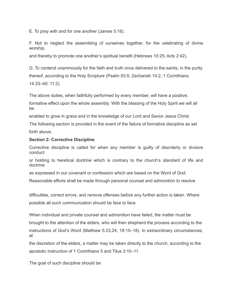E. To pray with and for one another (James 5:16).

F. Not to neglect the assembling of ourselves together, for the celebrating of divine worship,

and thereby to promote one another's spiritual benefit (Hebrews 10:25; Acts 2:42).

G. To contend unanimously for the faith and truth once delivered to the saints, in the purity thereof, according to the Holy Scripture (Psalm 93:5; Zechariah 14:2; 1 Corinthians 14:33–40; 11:2).

The above duties, when faithfully performed by every member, will have a positive,

formative effect upon the whole assembly. With the blessing of the Holy Spirit we will all be

enabled to grow in grace and in the knowledge of our Lord and Savior Jesus Christ.

The following section is provided in the event of the failure of formative discipline as set forth above.

#### **Section 2: Corrective Discipline**

Corrective discipline is called for when any member is guilty of disorderly or divisive conduct

or holding to heretical doctrine which is contrary to the church's standard of life and doctrine

as expressed in our covenant or confession which are based on the Word of God.

Reasonable efforts shall be made through personal counsel and admonition to resolve

difficulties, correct errors, and remove offenses before any further action is taken. Where possible all such communication should be face to face.

When individual and private counsel and admonition have failed, the matter must be brought to the attention of the elders, who will then shepherd the process according to the instructions of God's Word (Matthew 5:23,24; 18:15–18). In extraordinary circumstances, at

the discretion of the elders, a matter may be taken directly to the church, according to the apostolic instruction of 1 Corinthians 5 and Titus 3:10–11.

The goal of such discipline should be: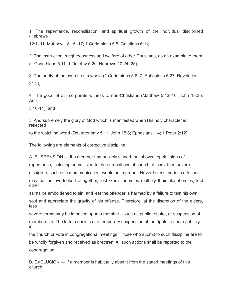1. The repentance, reconciliation, and spiritual growth of the individual disciplined (Hebrews

12:1–11; Matthew 18:15–17; 1 Corinthians 5:5; Galatians 6:1);

2. The instruction in righteousness and welfare of other Christians, as an example to them (1 Corinthians 5:11; 1 Timothy 5:20; Hebrews 10:24–25);

3. The purity of the church as a whole (1 Corinthians 5:6–7; Ephesians 5:27; Revelation 21:2);

4. The good of our corporate witness to non-Christians (Matthew 5:13–16; John 13:35; Acts

5:10-14); and

5. And supremely the glory of God which is manifested when His holy character is reflected

to the watching world (Deuteronomy 5:11; John 15:8; Ephesians 1:4; 1 Peter 2:12).

The following are elements of corrective discipline:

A. SUSPENSION — If a member has publicly sinned, but shows hopeful signs of

repentance, including submission to the admonitions of church officers, then severe

discipline, such as excommunication, would be improper. Nevertheless, serious offenses

may not be overlooked altogether, lest God's enemies multiply their blasphemies, lest other

saints be emboldened to sin, and lest the offender is harmed by a failure to test his own

soul and appreciate the gravity of his offense. Therefore, at the discretion of the elders, less

severe terms may be imposed upon a member—such as public rebuke, or suspension of membership. The latter consists of a temporary suspension of the rights to serve publicly in

the church or vote in congregational meetings. Those who submit to such discipline are to be wholly forgiven and received as brethren. All such actions shall be reported to the congregation.

B. EXCLUSION — If a member is habitually absent from the stated meetings of this church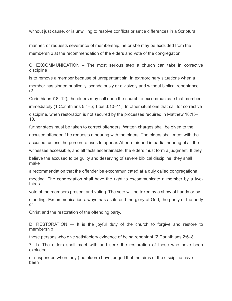without just cause, or is unwilling to resolve conflicts or settle differences in a Scriptural

manner, or requests severance of membership, he or she may be excluded from the membership at the recommendation of the elders and vote of the congregation.

C. EXCOMMUNICATION – The most serious step a church can take in corrective discipline

is to remove a member because of unrepentant sin. In extraordinary situations when a member has sinned publically, scandalously or divisively and without biblical repentance (2

Corinthians 7:8–12), the elders may call upon the church to excommunicate that member immediately (1 Corinthians 5:4–5; Titus 3:10–11). In other situations that call for corrective discipline, when restoration is not secured by the processes required in Matthew 18:15– 18,

further steps must be taken to correct offenders. Written charges shall be given to the accused offender if he requests a hearing with the elders. The elders shall meet with the accused, unless the person refuses to appear. After a fair and impartial hearing of all the witnesses accessible, and all facts ascertainable, the elders must form a judgment. If they

believe the accused to be guilty and deserving of severe biblical discipline, they shall make

a recommendation that the offender be excommunicated at a duly called congregational meeting. The congregation shall have the right to excommunicate a member by a twothirds

vote of the members present and voting. The vote will be taken by a show of hands or by

standing. Excommunication always has as its end the glory of God, the purity of the body of

Christ and the restoration of the offending party.

D. RESTORATION — It is the joyful duty of the church to forgive and restore to membership

those persons who give satisfactory evidence of being repentant (2 Corinthians 2:6–8;

7:11). The elders shall meet with and seek the restoration of those who have been excluded

or suspended when they (the elders) have judged that the aims of the discipline have been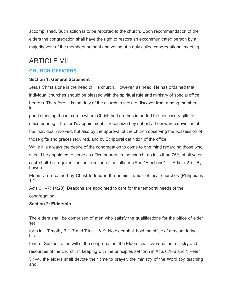accomplished. Such action is to be reported to the church. Upon recommendation of the elders the congregation shall have the right to restore an excommunicated person by a majority vote of the members present and voting at a duly called congregational meeting.

# ARTICLE VIII

### **CHURCH OFFICERS**

#### **Section 1: General Statement**

Jesus Christ alone is the head of His church. However, as head, He has ordained that individual churches should be blessed with the spiritual rule and ministry of special office bearers. Therefore, it is the duty of the church to seek to discover from among members in

good standing those men to whom Christ the Lord has imparted the necessary gifts for office bearing. The Lord's appointment is recognized by not only the inward conviction of the individual involved, but also by the approval of the church observing the possession of those gifts and graces required, and by Scriptural definition of the office.

While it is always the desire of the congregation to come to one mind regarding those who should be appointed to serve as office bearers in the church, no less than 75% of all votes cast shall be required for the election of an officer. (See "Elections" — Article 2 of By-Laws.)

Elders are ordained by Christ to lead in the administration of local churches (Philippians 1:1;

Acts 6:1–7; 14:23). Deacons are appointed to care for the temporal needs of the

congregation.

#### **Section 2: Eldership**

The elders shall be comprised of men who satisfy the qualifications for the office of elder set

forth in 1 Timothy 3:1–7 and Titus 1:6–9. No elder shall hold the office of deacon during his

tenure. Subject to the will of the congregation, the Elders shall oversee the ministry and

resources of the church. In keeping with the principles set forth in Acts 6:1–6 and 1 Peter

5:1–4, the elders shall devote their time to prayer, the ministry of the Word (by teaching and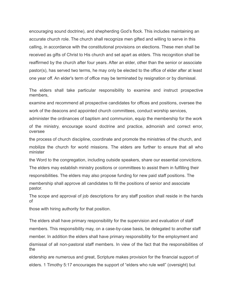encouraging sound doctrine), and shepherding God's flock. This includes maintaining an accurate church role. The church shall recognize men gifted and willing to serve in this calling, in accordance with the constitutional provisions on elections. These men shall be received as gifts of Christ to His church and set apart as elders. This recognition shall be reaffirmed by the church after four years. After an elder, other than the senior or associate pastor(s), has served two terms, he may only be elected to the office of elder after at least one year off. An elder's term of office may be terminated by resignation or by dismissal.

The elders shall take particular responsibility to examine and instruct prospective members,

examine and recommend all prospective candidates for offices and positions, oversee the work of the deacons and appointed church committees, conduct worship services,

administer the ordinances of baptism and communion, equip the membership for the work of the ministry, encourage sound doctrine and practice, admonish and correct error, oversee

the process of church discipline, coordinate and promote the ministries of the church, and mobilize the church for world missions. The elders are further to ensure that all who minister

the Word to the congregation, including outside speakers, share our essential convictions.

The elders may establish ministry positions or committees to assist them in fulfilling their responsibilities. The elders may also propose funding for new paid staff positions. The

membership shall approve all candidates to fill the positions of senior and associate pastor.

The scope and approval of job descriptions for any staff position shall reside in the hands of

those with hiring authority for that position.

The elders shall have primary responsibility for the supervision and evaluation of staff members. This responsibility may, on a case-by-case basis, be delegated to another staff member. In addition the elders shall have primary responsibility for the employment and dismissal of all non-pastoral staff members. In view of the fact that the responsibilities of the

eldership are numerous and great, Scripture makes provision for the financial support of elders. 1 Timothy 5:17 encourages the support of "elders who rule well" (oversight) but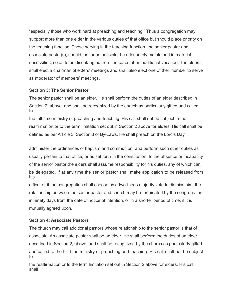"especially those who work hard at preaching and teaching." Thus a congregation may support more than one elder in the various duties of that office but should place priority on the teaching function. Those serving in the teaching function, the senior pastor and associate pastor(s), should, as far as possible, be adequately maintained in material necessities, so as to be disentangled from the cares of an additional vocation. The elders shall elect a chairman of elders' meetings and shall also elect one of their number to serve as moderator of members' meetings.

#### **Section 3: The Senior Pastor**

The senior pastor shall be an elder. He shall perform the duties of an elder described in Section 2, above, and shall be recognized by the church as particularly gifted and called to

the full-time ministry of preaching and teaching. His call shall not be subject to the reaffirmation or to the term limitation set out in Section 2 above for elders. His call shall be defined as per Article 3, Section 3 of By-Laws. He shall preach on the Lord's Day,

administer the ordinances of baptism and communion, and perform such other duties as usually pertain to that office, or as set forth in the constitution. In the absence or incapacity of the senior pastor the elders shall assume responsibility for his duties, any of which can be delegated. If at any time the senior pastor shall make application to be released from his

office, or if the congregation shall choose by a two-thirds majority vote to dismiss him, the relationship between the senior pastor and church may be terminated by the congregation in ninety days from the date of notice of intention, or in a shorter period of time, if it is mutually agreed upon.

#### **Section 4: Associate Pastors**

The church may call additional pastors whose relationship to the senior pastor is that of associate. An associate pastor shall be an elder. He shall perform the duties of an elder described in Section 2, above, and shall be recognized by the church as particularly gifted and called to the full-time ministry of preaching and teaching. His call shall not be subject to

the reaffirmation or to the term limitation set out in Section 2 above for elders. His call shall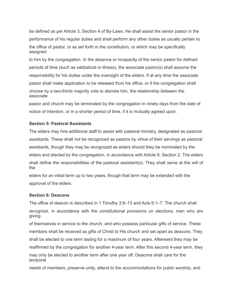be defined as per Article 3, Section 4 of By-Laws. He shall assist the senior pastor in the performance of his regular duties and shall perform any other duties as usually pertain to the office of pastor, or as set forth in the constitution, or which may be specifically assigned

to him by the congregation. In the absence or incapacity of the senior pastor for defined periods of time (such as sabbatical or illness), the associate pastor(s) shall assume the responsibility for his duties under the oversight of the elders. If at any time the associate pastor shall make application to be released from his office, or if the congregation shall choose by a two-thirds majority vote to dismiss him, the relationship between the associate

pastor and church may be terminated by the congregation in ninety days from the date of notice of intention, or in a shorter period of time, if it is mutually agreed upon.

#### **Section 5: Pastoral Assistants**

The elders may hire additional staff to assist with pastoral ministry, designated as pastoral assistants. These shall not be recognized as pastors by virtue of their servings as pastoral assistants, though they may be recognized as elders should they be nominated by the elders and elected by the congregation, in accordance with Article 9, Section 2. The elders shall define the responsibilities of the pastoral assistant(s). They shall serve at the will of the

elders for an initial term up to two years, though that term may be extended with the approval of the elders.

#### **Section 6: Deacons**

The office of deacon is described in 1 Timothy 3:8–13 and Acts 6:1–7. The church shall

recognize, in accordance with the constitutional provisions on elections, men who are giving

of themselves in service to the church, and who possess particular gifts of service. These members shall be received as gifts of Christ to His church and set apart as deacons. They

shall be elected to one term lasting for a maximum of four years. Afterward they may be

reaffirmed by the congregation for another 4-year term. After this second 4-year term, they

may only be elected to another term after one year off. Deacons shall care for the temporal

needs of members, preserve unity, attend to the accommodations for public worship, and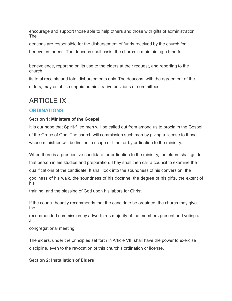encourage and support those able to help others and those with gifts of administration. The

deacons are responsible for the disbursement of funds received by the church for benevolent needs. The deacons shall assist the church in maintaining a fund for

benevolence, reporting on its use to the elders at their request, and reporting to the church

its total receipts and total disbursements only. The deacons, with the agreement of the elders, may establish unpaid administrative positions or committees.

# **ARTICLE IX**

### **ORDINATIONS**

#### **Section 1: Ministers of the Gospel**

It is our hope that Spirit-filled men will be called out from among us to proclaim the Gospel of the Grace of God. The church will commission such men by giving a license to those whose ministries will be limited in scope or time, or by ordination to the ministry.

When there is a prospective candidate for ordination to the ministry, the elders shall guide that person in his studies and preparation. They shall then call a council to examine the qualifications of the candidate. It shall look into the soundness of his conversion, the godliness of his walk, the soundness of his doctrine, the degree of his gifts, the extent of his

training, and the blessing of God upon his labors for Christ.

If the council heartily recommends that the candidate be ordained, the church may give the

recommended commission by a two-thirds majority of the members present and voting at a

congregational meeting.

The elders, under the principles set forth in Article VII, shall have the power to exercise discipline, even to the revocation of this church's ordination or license.

#### **Section 2: Installation of Elders**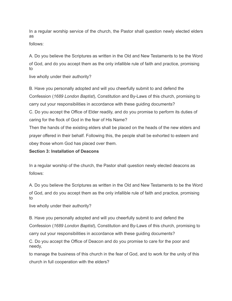In a regular worship service of the church, the Pastor shall question newly elected elders as

follows:

A. Do you believe the Scriptures as written in the Old and New Testaments to be the Word of God, and do you accept them as the only infallible rule of faith and practice, promising to

live wholly under their authority?

B. Have you personally adopted and will you cheerfully submit to and defend the Confession (*1689 London Baptist*), Constitution and By-Laws of this church, promising to carry out your responsibilities in accordance with these guiding documents? C. Do you accept the Office of Elder readily, and do you promise to perform its duties of caring for the flock of God in the fear of His Name?

Then the hands of the existing elders shall be placed on the heads of the new elders and prayer offered in their behalf. Following this, the people shall be exhorted to esteem and obey those whom God has placed over them.

#### **Section 3: Installation of Deacons**

In a regular worship of the church, the Pastor shall question newly elected deacons as follows:

A. Do you believe the Scriptures as written in the Old and New Testaments to be the Word of God, and do you accept them as the only infallible rule of faith and practice, promising to

live wholly under their authority?

B. Have you personally adopted and will you cheerfully submit to and defend the Confession (*1689 London Baptist*), Constitution and By-Laws of this church, promising to carry out your responsibilities in accordance with these guiding documents?

C. Do you accept the Office of Deacon and do you promise to care for the poor and needy,

to manage the business of this church in the fear of God, and to work for the unity of this church in full cooperation with the elders?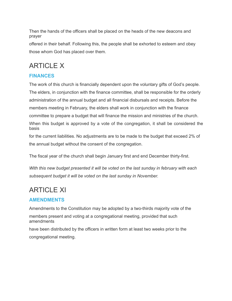Then the hands of the officers shall be placed on the heads of the new deacons and prayer

offered in their behalf. Following this, the people shall be exhorted to esteem and obey those whom God has placed over them.

# ARTICLE X

### **FINANCES**

The work of this church is financially dependent upon the voluntary gifts of God's people. The elders, in conjunction with the finance committee, shall be responsible for the orderly administration of the annual budget and all financial disbursals and receipts. Before the members meeting in February, the elders shall work in conjunction with the finance committee to prepare a budget that will finance the mission and ministries of the church. When this budget is approved by a vote of the congregation, it shall be considered the basis

for the current liabilities. No adjustments are to be made to the budget that exceed 2% of the annual budget without the consent of the congregation.

The fiscal year of the church shall begin January first and end December thirty-first.

*With this new budget presented it will be voted on the last sunday in february with each subsequent budget it will be voted on the last sunday in November.*

# ARTICLE XI

### **AMENDMENTS**

Amendments to the Constitution may be adopted by a two-thirds majority vote of the members present and voting at a congregational meeting, provided that such amendments

have been distributed by the officers in written form at least two weeks prior to the congregational meeting.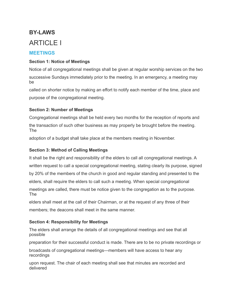# **BY-LAWS** ARTICLE I

### **MEETINGS**

#### **Section 1: Notice of Meetings**

Notice of all congregational meetings shall be given at regular worship services on the two successive Sundays immediately prior to the meeting. In an emergency, a meeting may be

called on shorter notice by making an effort to notify each member of the time, place and purpose of the congregational meeting.

#### **Section 2: Number of Meetings**

Congregational meetings shall be held every two months for the reception of reports and the transaction of such other business as may properly be brought before the meeting. The

adoption of a budget shall take place at the members meeting in November.

### **Section 3: Method of Calling Meetings**

It shall be the right and responsibility of the elders to call all congregational meetings. A written request to call a special congregational meeting, stating clearly its purpose, signed by 20% of the members of the church in good and regular standing and presented to the elders, shall require the elders to call such a meeting. When special congregational meetings are called, there must be notice given to the congregation as to the purpose. The

elders shall meet at the call of their Chairman, or at the request of any three of their members; the deacons shall meet in the same manner.

#### **Section 4: Responsibility for Meetings**

The elders shall arrange the details of all congregational meetings and see that all possible

preparation for their successful conduct is made. There are to be no private recordings or

broadcasts of congregational meetings—members will have access to hear any recordings

upon request. The chair of each meeting shall see that minutes are recorded and delivered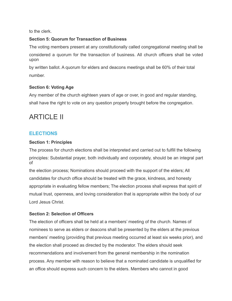to the clerk.

#### **Section 5: Quorum for Transaction of Business**

The voting members present at any constitutionally called congregational meeting shall be considered a quorum for the transaction of business. All church officers shall be voted upon

by written ballot. A quorum for elders and deacons meetings shall be 60% of their total number.

#### **Section 6: Voting Age**

Any member of the church eighteen years of age or over, in good and regular standing, shall have the right to vote on any question properly brought before the congregation.

# ARTICLE II

### **ELECTIONS**

#### **Section 1: Principles**

The process for church elections shall be interpreted and carried out to fulfill the following principles: Substantial prayer, both individually and corporately, should be an integral part of

the election process; Nominations should proceed with the support of the elders; All candidates for church office should be treated with the grace, kindness, and honesty appropriate in evaluating fellow members; The election process shall express that spirit of mutual trust, openness, and loving consideration that is appropriate within the body of our Lord Jesus Christ.

#### **Section 2: Selection of Officers**

The election of officers shall be held at a members' meeting of the church. Names of nominees to serve as elders or deacons shall be presented by the elders at the previous members' meeting (providing that previous meeting occurred at least six weeks prior), and the election shall proceed as directed by the moderator. The elders should seek recommendations and involvement from the general membership in the nomination process. Any member with reason to believe that a nominated candidate is unqualified for an office should express such concern to the elders. Members who cannot in good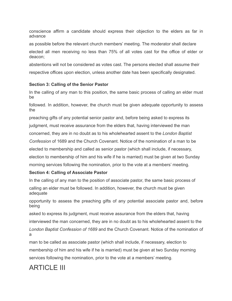conscience affirm a candidate should express their objection to the elders as far in advance

as possible before the relevant church members' meeting. The moderator shall declare elected all men receiving no less than 75% of all votes cast for the office of elder or deacon;

abstentions will not be considered as votes cast. The persons elected shall assume their respective offices upon election, unless another date has been specifically designated.

#### **Section 3: Calling of the Senior Pastor**

In the calling of any man to this position, the same basic process of calling an elder must be

followed. In addition, however, the church must be given adequate opportunity to assess the

preaching gifts of any potential senior pastor and, before being asked to express its judgment, must receive assurance from the elders that, having interviewed the man

concerned, they are in no doubt as to his wholehearted assent to the *London Baptist*

*Confession* of 1689 and the Church Covenant. Notice of the nomination of a man to be

elected to membership and called as senior pastor (which shall include, if necessary,

election to membership of him and his wife if he is married) must be given at two Sunday morning services following the nomination, prior to the vote at a members' meeting.

#### **Section 4: Calling of Associate Pastor**

In the calling of any man to the position of associate pastor, the same basic process of calling an elder must be followed. In addition, however, the church must be given adequate

opportunity to assess the preaching gifts of any potential associate pastor and, before being

asked to express its judgment, must receive assurance from the elders that, having interviewed the man concerned, they are in no doubt as to his wholehearted assent to the *London Baptist Confession of 1689* and the Church Covenant. Notice of the nomination of a

man to be called as associate pastor (which shall include, if necessary, election to membership of him and his wife if he is married) must be given at two Sunday morning services following the nomination, prior to the vote at a members' meeting.

# ARTICLE III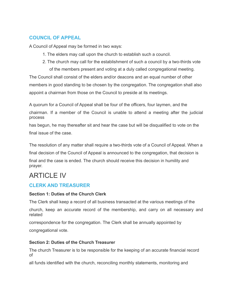### **COUNCIL OF APPEAL**

A Council of Appeal may be formed in two ways:

- 1. The elders may call upon the church to establish such a council.
- 2. The church may call for the establishment of such a council by a two-thirds vote of the members present and voting at a duly called congregational meeting.

The Council shall consist of the elders and/or deacons and an equal number of other members in good standing to be chosen by the congregation. The congregation shall also appoint a chairman from those on the Council to preside at its meetings.

A quorum for a Council of Appeal shall be four of the officers, four laymen, and the chairman. If a member of the Council is unable to attend a meeting after the judicial process

has begun, he may thereafter sit and hear the case but will be disqualified to vote on the final issue of the case.

The resolution of any matter shall require a two-thirds vote of a Council of Appeal. When a

final decision of the Council of Appeal is announced to the congregation, that decision is

final and the case is ended. The church should receive this decision in humility and prayer.

# ARTICLE IV

### **CLERK AND TREASURER**

#### **Section 1: Duties of the Church Clerk**

The Clerk shall keep a record of all business transacted at the various meetings of the

church, keep an accurate record of the membership, and carry on all necessary and related

correspondence for the congregation. The Clerk shall be annually appointed by

congregational vote.

#### **Section 2: Duties of the Church Treasurer**

The church Treasurer is to be responsible for the keeping of an accurate financial record of

all funds identified with the church, reconciling monthly statements, monitoring and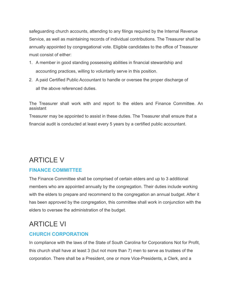safeguarding church accounts, attending to any filings required by the Internal Revenue Service, as well as maintaining records of individual contributions. The Treasurer shall be annually appointed by congregational vote. Eligible candidates to the office of Treasurer must consist of either:

- 1. A member in good standing possessing abilities in financial stewardship and accounting practices, willing to voluntarily serve in this position.
- 2. A paid Certified Public Accountant to handle or oversee the proper discharge of all the above referenced duties.

The Treasurer shall work with and report to the elders and Finance Committee. An assistant

Treasurer may be appointed to assist in these duties. The Treasurer shall ensure that a financial audit is conducted at least every 5 years by a certified public accountant.

# ARTICLE V

### **FINANCE COMMITTEE**

The Finance Committee shall be comprised of certain elders and up to 3 additional members who are appointed annually by the congregation. Their duties include working with the elders to prepare and recommend to the congregation an annual budget. After it has been approved by the congregation, this committee shall work in conjunction with the elders to oversee the administration of the budget.

# ARTICLE VI

### **CHURCH CORPORATION**

In compliance with the laws of the State of South Carolina for Corporations Not for Profit, this church shall have at least 3 (but not more than 7) men to serve as trustees of the corporation. There shall be a President, one or more Vice-Presidents, a Clerk, and a